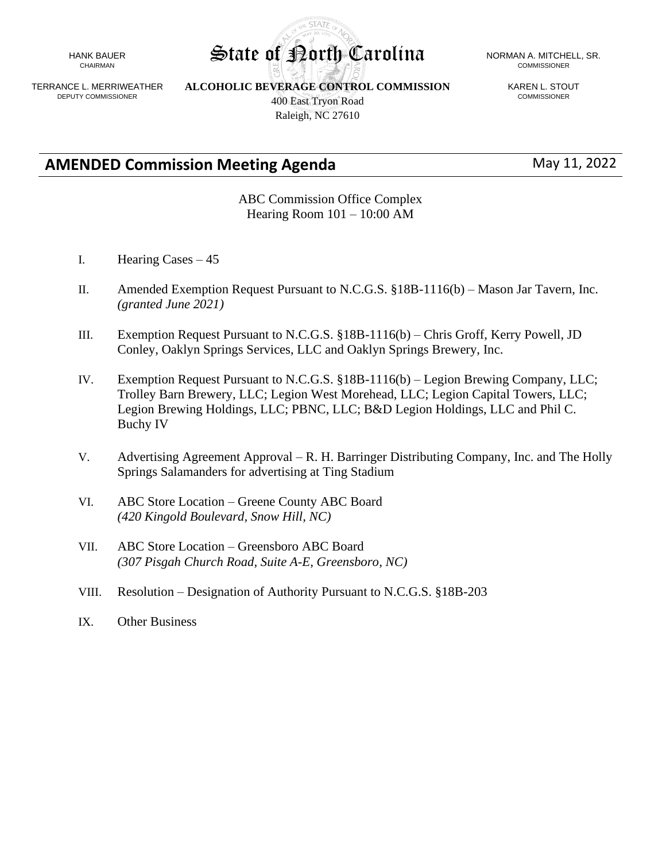HANK BAUER CHAIRMAN

TERRANCE L. MERRIWEATHER DEPUTY COMMISSIONER

**ALCOHOLIC BEVERAGE CONTROL COMMISSION** 400 East Tryon Road Raleigh, NC 27610

KAREN L. STOUT COMMISSIONER

**AMENDED Commission Meeting Agenda** May 11, 2022

ABC Commission Office Complex Hearing Room 101 – 10:00 AM

- I. Hearing Cases 45
- II. Amended Exemption Request Pursuant to N.C.G.S. §18B-1116(b) Mason Jar Tavern, Inc. *(granted June 2021)*
- III. Exemption Request Pursuant to N.C.G.S. §18B-1116(b) Chris Groff, Kerry Powell, JD Conley, Oaklyn Springs Services, LLC and Oaklyn Springs Brewery, Inc.
- IV. Exemption Request Pursuant to N.C.G.S. §18B-1116(b) Legion Brewing Company, LLC; Trolley Barn Brewery, LLC; Legion West Morehead, LLC; Legion Capital Towers, LLC; Legion Brewing Holdings, LLC; PBNC, LLC; B&D Legion Holdings, LLC and Phil C. Buchy IV
- V. Advertising Agreement Approval R. H. Barringer Distributing Company, Inc. and The Holly Springs Salamanders for advertising at Ting Stadium
- VI. ABC Store Location Greene County ABC Board *(420 Kingold Boulevard, Snow Hill, NC)*
- VII. ABC Store Location Greensboro ABC Board *(307 Pisgah Church Road, Suite A-E, Greensboro, NC)*
- VIII. Resolution Designation of Authority Pursuant to N.C.G.S. §18B-203
- IX. Other Business

**STATF** State of Porth Carolina NORMAN A. MITCHELL, SR.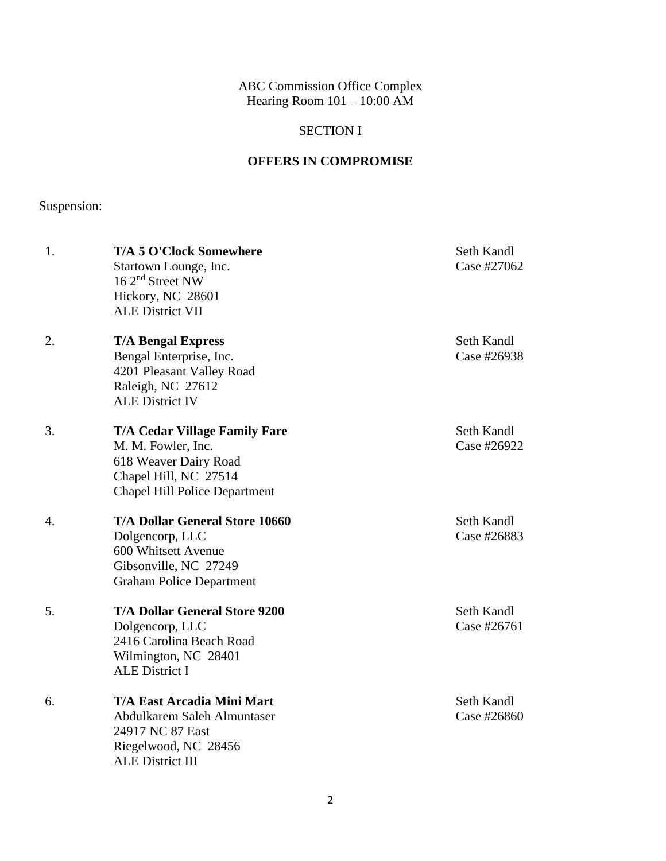ABC Commission Office Complex Hearing Room 101 – 10:00 AM

## SECTION I

## **OFFERS IN COMPROMISE**

# Suspension:

| 1. | <b>T/A 5 O'Clock Somewhere</b><br>Startown Lounge, Inc.<br>$16\ 2nd$ Street NW<br>Hickory, NC 28601<br><b>ALE District VII</b>                       | Seth Kandl<br>Case #27062 |
|----|------------------------------------------------------------------------------------------------------------------------------------------------------|---------------------------|
| 2. | <b>T/A Bengal Express</b><br>Bengal Enterprise, Inc.<br>4201 Pleasant Valley Road<br>Raleigh, NC 27612<br><b>ALE District IV</b>                     | Seth Kandl<br>Case #26938 |
| 3. | <b>T/A Cedar Village Family Fare</b><br>M. M. Fowler, Inc.<br>618 Weaver Dairy Road<br>Chapel Hill, NC 27514<br><b>Chapel Hill Police Department</b> | Seth Kandl<br>Case #26922 |
| 4. | <b>T/A Dollar General Store 10660</b><br>Dolgencorp, LLC<br>600 Whitsett Avenue<br>Gibsonville, NC 27249<br><b>Graham Police Department</b>          | Seth Kandl<br>Case #26883 |
| 5. | <b>T/A Dollar General Store 9200</b><br>Dolgencorp, LLC<br>2416 Carolina Beach Road<br>Wilmington, NC 28401<br><b>ALE District I</b>                 | Seth Kandl<br>Case #26761 |
| 6. | <b>T/A East Arcadia Mini Mart</b><br>Abdulkarem Saleh Almuntaser<br>24917 NC 87 East<br>Riegelwood, NC 28456<br><b>ALE District III</b>              | Seth Kandl<br>Case #26860 |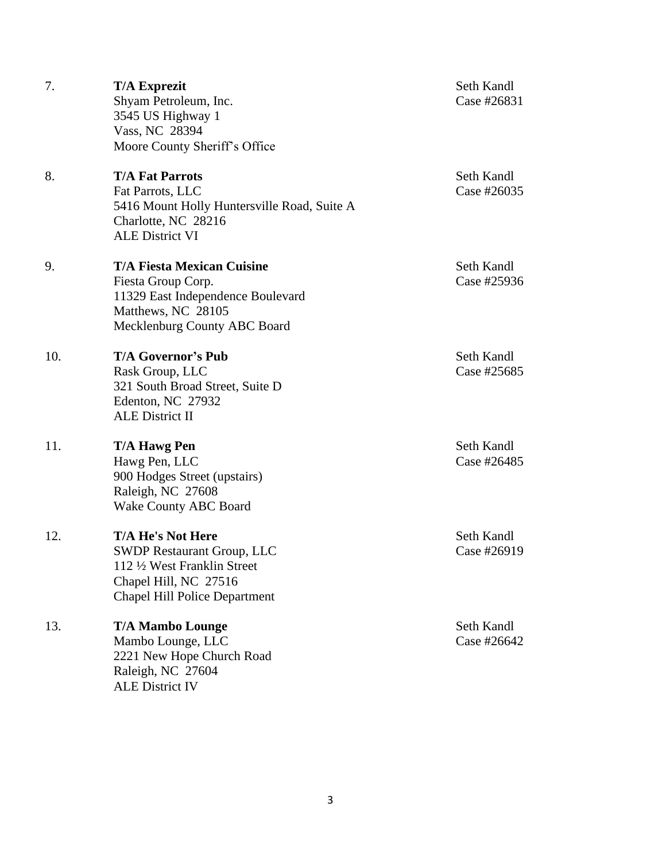7. **T/A Exprezit** Seth Kandl Shyam Petroleum, Inc. Case #26831 3545 US Highway 1 Vass, NC 28394 Moore County Sheriff's Office 8. **T/A Fat Parrots** Seth Kandl Fat Parrots, LLC Case #26035 5416 Mount Holly Huntersville Road, Suite A Charlotte, NC 28216 ALE District VI 9. **T/A Fiesta Mexican Cuisine** Seth Kandl Fiesta Group Corp. Case #25936 11329 East Independence Boulevard Matthews, NC 28105 Mecklenburg County ABC Board 10. **T/A Governor's Pub** Seth Kandl Rask Group, LLC Case #25685 321 South Broad Street, Suite D Edenton, NC 27932 ALE District II 11. **T/A Hawg Pen** Seth Kandl Hawg Pen, LLC Case #26485 900 Hodges Street (upstairs) Raleigh, NC 27608 Wake County ABC Board 12. **T/A He's Not Here** Seth Kandl SWDP Restaurant Group, LLC Case #26919 112 ½ West Franklin Street Chapel Hill, NC 27516 Chapel Hill Police Department 13. **T/A Mambo Lounge** Seth Kandl Mambo Lounge, LLC Case #26642 2221 New Hope Church Road Raleigh, NC 27604 ALE District IV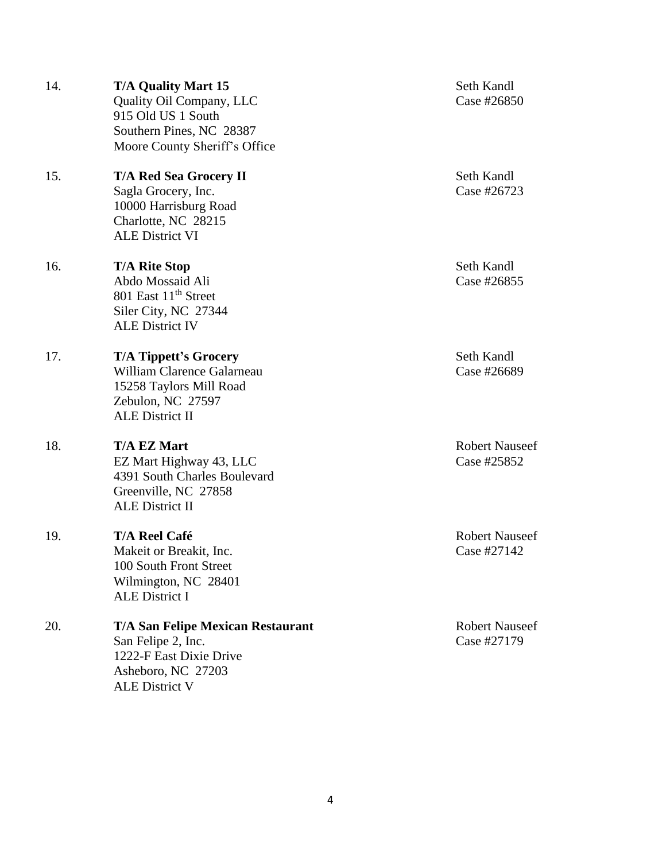4

|     | Southern Pines, NC 28387<br>Moore County Sheriff's Office                                                                            |
|-----|--------------------------------------------------------------------------------------------------------------------------------------|
| 15. | <b>T/A Red Sea Grocery II</b><br>Sagla Grocery, Inc.<br>10000 Harrisburg Road<br>Charlotte, NC 28215<br><b>ALE District VI</b>       |
| 16. | <b>T/A Rite Stop</b><br>Abdo Mossaid Ali<br>801 East 11 <sup>th</sup> Street<br>Siler City, NC 27344<br><b>ALE District IV</b>       |
| 17. | <b>T/A Tippett's Grocery</b><br>William Clarence Galarneau<br>15258 Taylors Mill Road<br>Zebulon, NC 27597<br><b>ALE District II</b> |

18. T/A EZ Mart<br>
Tant Robert Nauseef EZ Mart Highway 43, LLC Case #25852 4391 South Charles Boulevard Greenville, NC 27858 ALE District II

19. **T/A Reel Café Robert Nauseef Robert Nauseef Robert Nauseef Robert Nauseef Case #27142** Makeit or Breakit, Inc. 100 South Front Street Wilmington, NC 28401 ALE District I

#### 20. **T/A San Felipe Mexican Restaurant** Robert Nauseef San Felipe 2, Inc. Case #27179 1222-F East Dixie Drive Asheboro, NC 27203 ALE District V

14. **T/A Quality Mart 15** Seth Kandl

**Seth Kandl** Case #26723

**Seth Kandl** Case #26855

**Seth Kandl** Case #26689

# Quality Oil Company, LLC Case #26850

915 Old US 1 South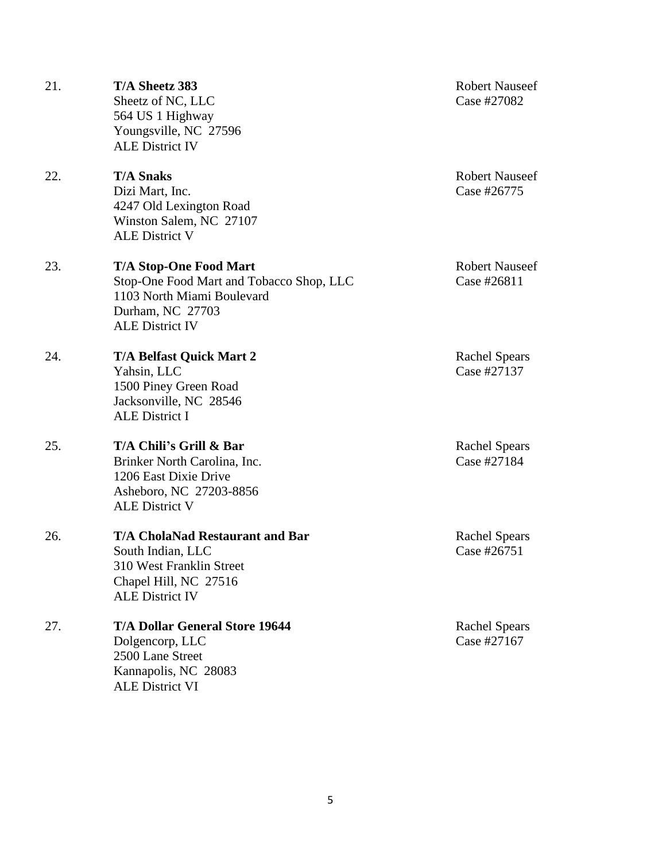| 21. | T/A Sheetz 383<br>Sheetz of NC, LLC<br>564 US 1 Highway<br>Youngsville, NC 27596<br><b>ALE District IV</b>                                            | <b>Robert Nauseef</b><br>Case #27082 |
|-----|-------------------------------------------------------------------------------------------------------------------------------------------------------|--------------------------------------|
| 22. | <b>T/A Snaks</b><br>Dizi Mart, Inc.<br>4247 Old Lexington Road<br>Winston Salem, NC 27107<br><b>ALE District V</b>                                    | <b>Robert Nauseef</b><br>Case #26775 |
| 23. | <b>T/A Stop-One Food Mart</b><br>Stop-One Food Mart and Tobacco Shop, LLC<br>1103 North Miami Boulevard<br>Durham, NC 27703<br><b>ALE District IV</b> | <b>Robert Nauseef</b><br>Case #26811 |
| 24. | <b>T/A Belfast Quick Mart 2</b><br>Yahsin, LLC<br>1500 Piney Green Road<br>Jacksonville, NC 28546<br><b>ALE District I</b>                            | <b>Rachel Spears</b><br>Case #27137  |
| 25. | T/A Chili's Grill & Bar<br>Brinker North Carolina, Inc.<br>1206 East Dixie Drive<br>Asheboro, NC 27203-8856<br><b>ALE District V</b>                  | <b>Rachel Spears</b><br>Case #27184  |
| 26. | <b>T/A CholaNad Restaurant and Bar</b><br>South Indian, LLC<br>310 West Franklin Street<br>Chapel Hill, NC 27516<br><b>ALE District IV</b>            | <b>Rachel Spears</b><br>Case #26751  |
| 27. | <b>T/A Dollar General Store 19644</b><br>Dolgencorp, LLC<br>2500 Lane Street<br>Kannapolis, NC 28083<br><b>ALE District VI</b>                        | <b>Rachel Spears</b><br>Case #27167  |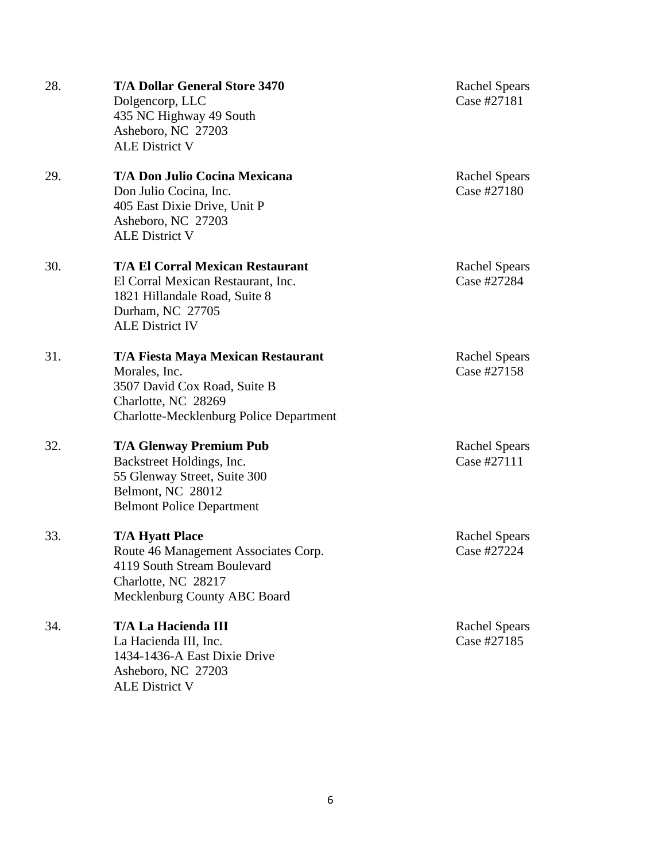| 28. | <b>T/A Dollar General Store 3470</b><br>Dolgencorp, LLC<br>435 NC Highway 49 South<br>Asheboro, NC 27203<br><b>ALE District V</b>                            | <b>Rachel Spears</b><br>Case #27181 |
|-----|--------------------------------------------------------------------------------------------------------------------------------------------------------------|-------------------------------------|
| 29. | <b>T/A Don Julio Cocina Mexicana</b><br>Don Julio Cocina, Inc.<br>405 East Dixie Drive, Unit P<br>Asheboro, NC 27203<br><b>ALE District V</b>                | <b>Rachel Spears</b><br>Case #27180 |
| 30. | <b>T/A El Corral Mexican Restaurant</b><br>El Corral Mexican Restaurant, Inc.<br>1821 Hillandale Road, Suite 8<br>Durham, NC 27705<br><b>ALE District IV</b> | <b>Rachel Spears</b><br>Case #27284 |
| 31. | T/A Fiesta Maya Mexican Restaurant<br>Morales, Inc.<br>3507 David Cox Road, Suite B<br>Charlotte, NC 28269<br>Charlotte-Mecklenburg Police Department        | <b>Rachel Spears</b><br>Case #27158 |
| 32. | <b>T/A Glenway Premium Pub</b><br>Backstreet Holdings, Inc.<br>55 Glenway Street, Suite 300<br>Belmont, NC 28012<br><b>Belmont Police Department</b>         | <b>Rachel Spears</b><br>Case #27111 |
| 33. | <b>T/A Hyatt Place</b><br>Route 46 Management Associates Corp.<br>4119 South Stream Boulevard<br>Charlotte, NC 28217<br>Mecklenburg County ABC Board         | <b>Rachel Spears</b><br>Case #27224 |
| 34. | T/A La Hacienda III<br>La Hacienda III, Inc.<br>1434-1436-A East Dixie Drive<br>Asheboro, NC 27203<br><b>ALE District V</b>                                  | <b>Rachel Spears</b><br>Case #27185 |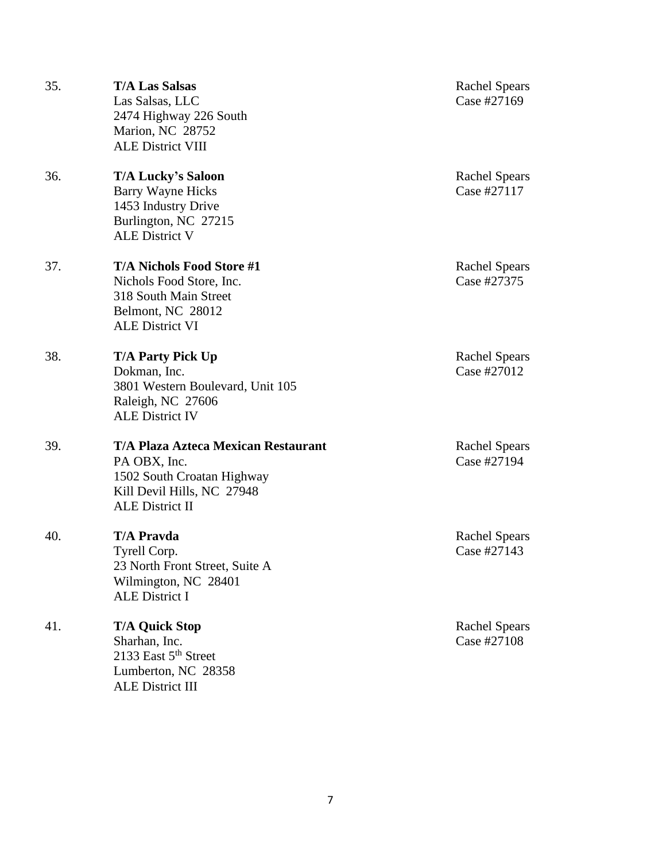| 35. | <b>T/A Las Salsas</b><br>Las Salsas, LLC<br>2474 Highway 226 South<br>Marion, NC 28752<br><b>ALE District VIII</b>                               | <b>Rachel Spears</b><br>Case #27169 |
|-----|--------------------------------------------------------------------------------------------------------------------------------------------------|-------------------------------------|
| 36. | <b>T/A Lucky's Saloon</b><br><b>Barry Wayne Hicks</b><br>1453 Industry Drive<br>Burlington, NC 27215<br><b>ALE District V</b>                    | <b>Rachel Spears</b><br>Case #27117 |
| 37. | <b>T/A Nichols Food Store #1</b><br>Nichols Food Store, Inc.<br>318 South Main Street<br>Belmont, NC 28012<br><b>ALE District VI</b>             | <b>Rachel Spears</b><br>Case #27375 |
| 38. | <b>T/A Party Pick Up</b><br>Dokman, Inc.<br>3801 Western Boulevard, Unit 105<br>Raleigh, NC 27606<br><b>ALE District IV</b>                      | <b>Rachel Spears</b><br>Case #27012 |
| 39. | <b>T/A Plaza Azteca Mexican Restaurant</b><br>PA OBX, Inc.<br>1502 South Croatan Highway<br>Kill Devil Hills, NC 27948<br><b>ALE District II</b> | <b>Rachel Spears</b><br>Case #27194 |
| 40. | <b>T/A Pravda</b><br>Tyrell Corp.<br>23 North Front Street, Suite A<br>Wilmington, NC 28401<br><b>ALE District I</b>                             | <b>Rachel Spears</b><br>Case #27143 |
| 41. | <b>T/A Quick Stop</b><br>Sharhan, Inc.<br>2133 East $5th$ Street<br>Lumberton, NC 28358<br><b>ALE District III</b>                               | <b>Rachel Spears</b><br>Case #27108 |